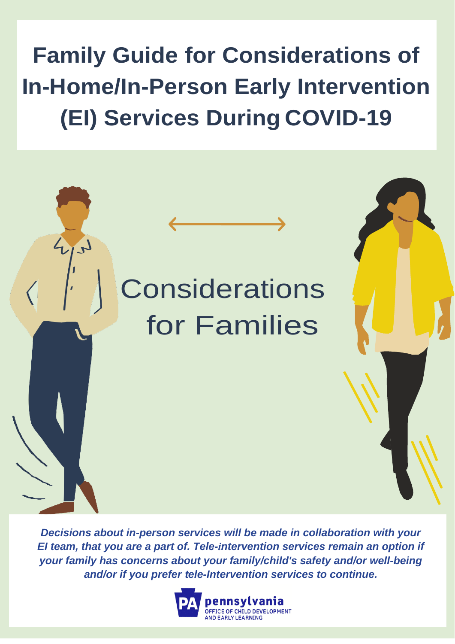**Family Guide for Considerations of In-Home/In-Person Early Intervention (EI) Services During COVID-19**



*Decisions about in-person services will be made in collaboration with your EI team, that you are a part of. Tele-intervention services remain an option if your family has concerns about your family/child's safety and/or well-being and/or if you prefer tele-Intervention services to continue.*

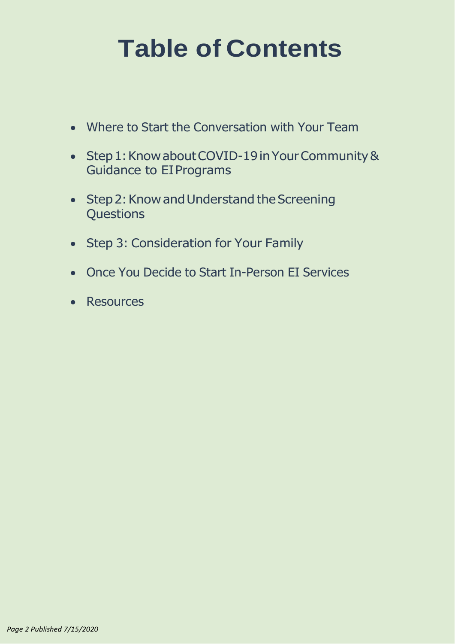# **Table of Contents**

- Where to Start the [Conversation](#page-2-0) with Your Team
- Step 1: Know about COVID-19 in Your Community [&](#page-2-0) [Guidance to EIPrograms](#page-2-0)
- Step 2: Know and Understand the Screenin[g](#page-3-0) **[Questions](#page-3-0)**
- Step 3: [Consideration](#page-4-0) for Your Family
- Once You Decide to Start [In-Person](#page-6-0) EI Services
- [Resources](#page-7-0)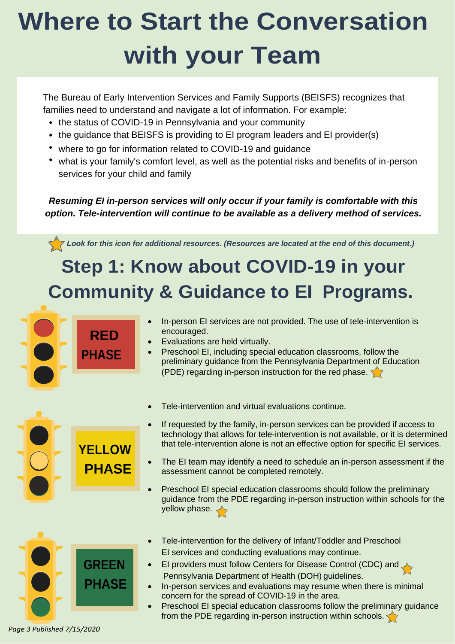# <span id="page-2-0"></span>**Where to Start the Conversation with your Team**

The Bureau of Early Intervention Services and Family Supports (BEISFS) recognizes that families need to understand and navigate a lot of information. For example:

- the status of COVID-19 in Pennsylvania and your community
- the guidance that BEISFS is providing to EI program leaders and EI provider(s)
- where to go for information related to COVID-19 and guidance
- what is your family's comfort level, as well as the potential risks and benefits of in-person services for your child and family

#### *Resuming EI in-person services will only occur if your family is comfortable with this option. Tele-intervention will continue to be available as a delivery method of services.*

*Look for this icon for additional resources. (Resources are located at the end of this document.)*

# **Step 1: Know about COVID-19 in your Community & Guidance to EI Programs.**





- Tele-intervention for the delivery of Infant/Toddler and Preschool EI services and conducting evaluations may continue.
- EI providers must follow Centers for Disease Control (CDC) and Pennsylvania Department of Health (DOH) guidelines.
- In-person services and evaluations may resume when there is minimal concern for the spread of COVID-19 in the area.
- Preschool EI special education classrooms follow the preliminary guidance from the PDE regarding in-person instruction within schools.

*Page 3 Published 7/15/2020*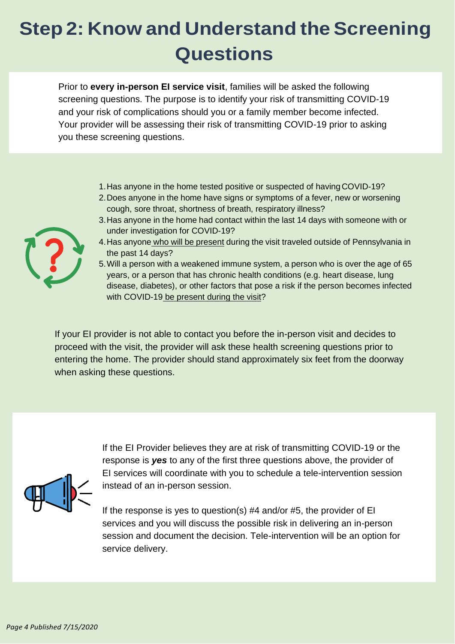# <span id="page-3-0"></span>**Step 2: Know and Understand the Screening Questions**

Prior to **every in-person EI service visit**, families will be asked the following screening questions. The purpose is to identify your risk of transmitting COVID-19 and your risk of complications should you or a family member become infected. Your provider will be assessing their risk of transmitting COVID-19 prior to asking you these screening questions.

- 1.Has anyone in the home tested positive or suspected of havingCOVID-19?
- 2.Does anyone in the home have signs or symptoms of a fever, new or worsening cough, sore throat, shortness of breath, respiratory illness?
- 3.Has anyone in the home had contact within the last 14 days with someone with or under investigation for COVID-19?
- 4.Has anyone who will be present during the visit traveled outside of Pennsylvania in the past 14 days?
- 5.Will a person with a weakened immune system, a person who is over the age of 65 years, or a person that has chronic health conditions (e.g. heart disease, lung disease, diabetes), or other factors that pose a risk if the person becomes infected with COVID-19 be present during the visit?

If your EI provider is not able to contact you before the in-person visit and decides to proceed with the visit, the provider will ask these health screening questions prior to entering the home. The provider should stand approximately six feet from the doorway when asking these questions.



If the EI Provider believes they are at risk of transmitting COVID-19 or the response is *yes* to any of the first three questions above, the provider of EI services will coordinate with you to schedule a tele-intervention session instead of an in-person session.

If the response is yes to question(s) #4 and/or #5, the provider of EI services and you will discuss the possible risk in delivering an in-person session and document the decision. Tele-intervention will be an option for service delivery.

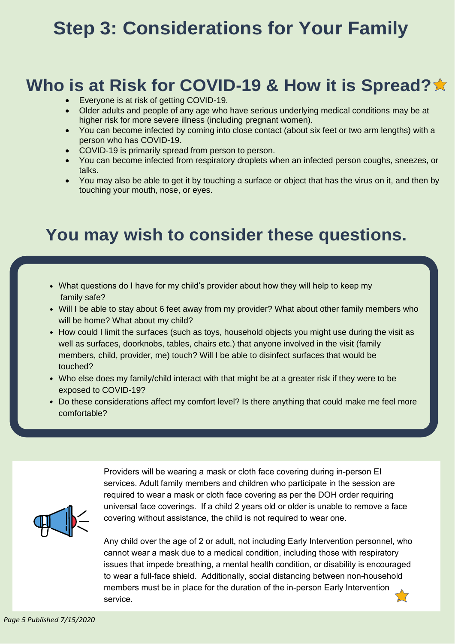## <span id="page-4-0"></span>**Step 3: Considerations for Your Family**

### **Who is at Risk for COVID-19 & How it is Spread?**

- Everyone is at risk of getting COVID-19.
- Older adults and people of any age who have serious underlying medical conditions may be at higher risk for more severe illness (including pregnant women).
- You can become infected by coming into close contact (about six feet or two arm lengths) with a person who has COVID-19.
- COVID-19 is primarily spread from person to person.
- You can become infected from respiratory droplets when an infected person coughs, sneezes, or talks.
- You may also be able to get it by touching a surface or object that has the virus on it, and then by touching your mouth, nose, or eyes.

### **You may wish to consider these questions.**

- What questions do I have for my child's provider about how they will help to keep my family safe?
- Will I be able to stay about 6 feet away from my provider? What about other family members who will be home? What about my child?
- How could I limit the surfaces (such as toys, household objects you might use during the visit as well as surfaces, doorknobs, tables, chairs etc.) that anyone involved in the visit (family members, child, provider, me) touch? Will I be able to disinfect surfaces that would be touched?
- Who else does my family/child interact with that might be at a greater risk if they were to be exposed to COVID-19?
- Do these considerations affect my comfort level? Is there anything that could make me feel more comfortable?



Providers will be wearing a mask or cloth face covering during in-person EI services. Adult family members and children who participate in the session are required to wear a mask or cloth face covering as per the DOH order requiring universal face coverings. If a child 2 years old or older is unable to remove a face covering without assistance, the child is not required to wear one.

Any child over the age of 2 or adult, not including Early Intervention personnel, who cannot wear a mask due to a medical condition, including those with respiratory issues that impede breathing, a mental health condition, or disability is encouraged to wear a full-face shield. Additionally, social distancing between non-household members must be in place for the duration of the in-person Early Intervention service.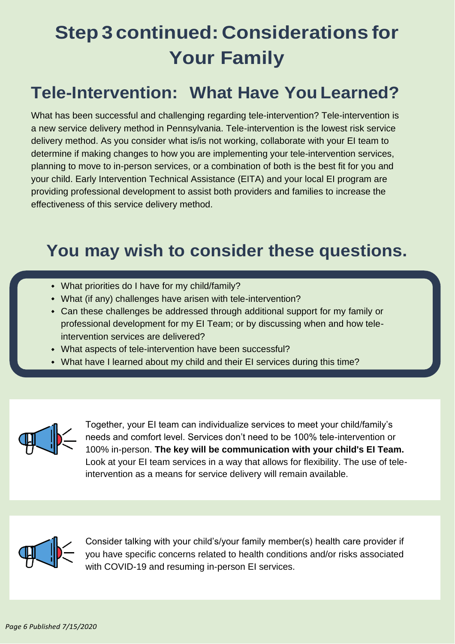# **Step 3 continued: Considerations for Your Family**

### **Tele-Intervention: What Have You Learned?**

What has been successful and challenging regarding tele-intervention? Tele-intervention is a new service delivery method in Pennsylvania. Tele-intervention is the lowest risk service delivery method. As you consider what is/is not working, collaborate with your EI team to determine if making changes to how you are implementing your tele-intervention services, planning to move to in-person services, or a combination of both is the best fit for you and your child. Early Intervention Technical Assistance (EITA) and your local EI program are providing professional development to assist both providers and families to increase the effectiveness of this service delivery method.

### **You may wish to consider these questions.**

- What priorities do I have for my child/family?
- What (if any) challenges have arisen with tele-intervention?
- Can these challenges be addressed through additional support for my family or professional development for my EI Team; or by discussing when and how teleintervention services are delivered?
- What aspects of tele-intervention have been successful?
- What have I learned about my child and their EI services during this time?



Together, your EI team can individualize services to meet your child/family's needs and comfort level. Services don't need to be 100% tele-intervention or 100% in-person. **The key will be communication with your child's EI Team.**  Look at your EI team services in a way that allows for flexibility. The use of teleintervention as a means for service delivery will remain available.



Consider talking with your child's/your family member(s) health care provider if you have specific concerns related to health conditions and/or risks associated with COVID-19 and resuming in-person EI services.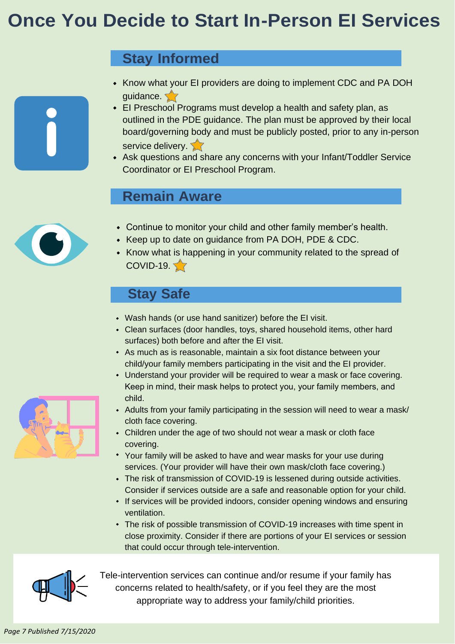## <span id="page-6-0"></span>**Once You Decide to Start In-Person EI Services**

#### **Stay Informed**

- Know what your EI providers are doing to implement CDC and PA DOH guidance.
- EI Preschool Programs must develop a health and safety plan, as outlined in the PDE guidance. The plan must be approved by their local board/governing body and must be publicly posted, prior to any in-person service delivery.
- Ask questions and share any concerns with your Infant/Toddler Service Coordinator or EI Preschool Program.

#### **Remain Aware**



- Continue to monitor your child and other family member's health.
- Keep up to date on guidance from PA DOH, PDE & CDC.
- Know what is happening in your community related to the spread of  $COVID-19.  $\sqrt{7}$$

#### **Stay Safe**

- Wash hands (or use hand sanitizer) before the EI visit.
- Clean surfaces (door handles, toys, shared household items, other hard surfaces) both before and after the EI visit.
- As much as is reasonable, maintain a six foot distance between your child/your family members participating in the visit and the EI provider.
- Understand your provider will be required to wear a mask or face covering. Keep in mind, their mask helps to protect you, your family members, and child.
- Adults from your family participating in the session will need to wear a mask/ cloth face covering.
- Children under the age of two should not wear a mask or cloth face covering.
- Your family will be asked to have and wear masks for your use during services. (Your provider will have their own mask/cloth face covering.)
- The risk of transmission of COVID-19 is lessened during outside activities. Consider if services outside are a safe and reasonable option for your child.
- **If services will be provided indoors, consider opening windows and ensuring** ventilation.
- The risk of possible transmission of COVID-19 increases with time spent in close proximity. Consider if there are portions of your EI services or session that could occur through tele-intervention.



Tele-intervention services can continue and/or resume if your family has concerns related to health/safety, or if you feel they are the most appropriate way to address your family/child priorities.

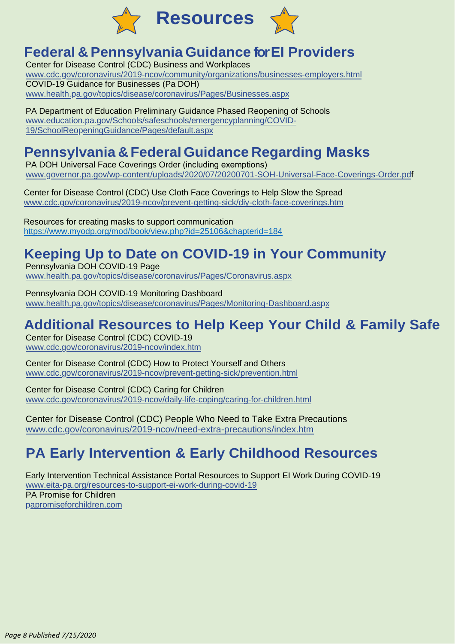<span id="page-7-0"></span>

#### **Federal & Pennsylvania Guidance for EI Providers**

Center for Disease Control (CDC) Business and Workplaces [www.cdc.gov/coronavirus/2019-ncov/community/organizations/businesses-employers.html](https://www.cdc.gov/coronavirus/2019-ncov/community/organizations/businesses-employers.html) COVID-19 Guidance for Businesses (Pa DOH) [www.health.pa.gov/topics/disease/coronavirus/Pages/Businesses.aspx](https://www.health.pa.gov/topics/disease/coronavirus/Pages/Businesses.aspx)

PA Department of Education Preliminary Guidance Phased Reopening of Schools [www.education.pa.gov/Schools/safeschools/emergencyplanning/COVID-](https://www.education.pa.gov/Schools/safeschools/emergencyplanning/COVID-19/SchoolReopeningGuidance/Pages/default.aspx)[19/SchoolReopeningGuidance/Pages/default.aspx](https://www.education.pa.gov/Schools/safeschools/emergencyplanning/COVID-19/SchoolReopeningGuidance/Pages/default.aspx)

#### **Pennsylvania & Federal Guidance Regarding Masks**

PA DOH Universal Face Coverings Order (including exemptions) [www.governor.pa.gov/wp-content/uploads/2020/07/20200701-SOH-Universal-Face-Coverings-Order.pdf](https://www.governor.pa.gov/wp-content/uploads/2020/07/20200701-SOH-Universal-Face-Coverings-Order.pdf)

Center for Disease Control (CDC) Use Cloth Face Coverings to Help Slow the Spread [www.cdc.gov/coronavirus/2019-ncov/prevent-getting-sick/diy-cloth-face-coverings.htm](https://www.cdc.gov/coronavirus/2019-ncov/prevent-getting-sick/diy-cloth-face-coverings.html)

Resources for creating masks to support communication <https://www.myodp.org/mod/book/view.php?id=25106&chapterid=184>

#### **Keeping Up to Date on COVID-19 in Your Community**

Pennsylvania DOH COVID-19 Page [www.health.pa.gov/topics/disease/coronavirus/Pages/Coronavirus.aspx](https://www.health.pa.gov/topics/disease/coronavirus/Pages/Coronavirus.aspx)

Pennsylvania DOH COVID-19 Monitoring Dashboard [www.health.pa.gov/topics/disease/coronavirus/Pages/Monitoring-Dashboard.aspx](https://www.health.pa.gov/topics/disease/coronavirus/Pages/Monitoring-Dashboard.aspx)

#### **Additional Resources to Help Keep Your Child & Family Safe**

Center for Disease Control (CDC) COVID-19 [www.cdc.gov/coronavirus/2019-ncov/index.htm](https://www.cdc.gov/coronavirus/2019-ncov/index.html)

Center for Disease Control (CDC) How to Protect Yourself and Others [www.cdc.gov/coronavirus/2019-ncov/prevent-getting-sick/prevention.html](https://www.cdc.gov/coronavirus/2019-ncov/prevent-getting-sick/prevention.html)

Center for Disease Control (CDC) Caring for Children [www.cdc.gov/coronavirus/2019-ncov/daily-life-coping/caring-for-children.html](https://www.cdc.gov/coronavirus/2019-ncov/daily-life-coping/caring-for-children.html)

Center for Disease Control (CDC) People Who Need to Take Extra Precautions [www.cdc.gov/coronavirus/2019-ncov/need-extra-precautions/index.htm](https://www.cdc.gov/coronavirus/2019-ncov/need-extra-precautions/index.html)

#### **PA Early Intervention & Early Childhood Resources**

Early Intervention Technical Assistance Portal Resources to Support EI Work During COVID-19 [www.eita-pa.org/resources-to-support-ei-work-during-covid-19](http://www.eita-pa.org/resources-to-support-ei-work-during-covid-19/) PA Promise for Children [papromiseforchildren.com](https://papromiseforchildren.com/)